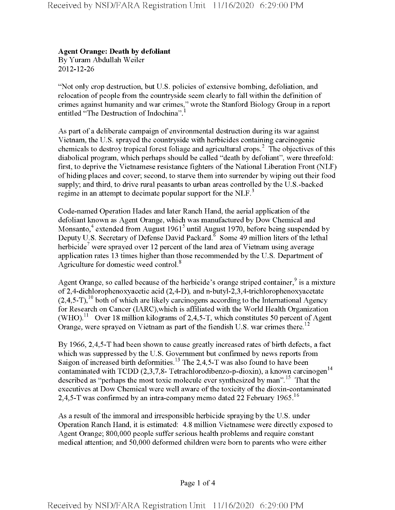## **Agent Orange: Death by defoliant**

By Yuram Abdullah Weiler 2012-12-26

"Not only crop destruction, but U.S. policies of extensive bombing, defoliation, and relocation of people from the countryside seem clearly to fall within the definition of crimes against humanity and war crimes," wrote the Stanford Biology Group in a report entitled "The Destruction of Indochina".

As part of a deliberate campaign of environmental destruction during its war against Vietnam, the U.S. sprayed the countryside with herbicides containing carcinogenic chemicals to destroy tropical forest foliage and agricultural crops.<sup>2</sup> The objectives of this diabolical program, which perhaps should be called "death by defoliant", were threefold: first, to deprive the Vietnamese resistance fighters of the National Liberation Front (NLF) ofhiding places and cover; second, to starve them into surrender by wiping out their food supply; and third, to drive rural peasants to urban areas controlled by the U.S.-backed regime in an attempt to decimate popular support for the NLF.<sup>3</sup>

Code-named Operation Hades and later Ranch Hand, the aerial application of the defoliant known as Agent Orange, which was manufactured by Dow Chemical and Monsanto, $4$  extended from August 1961<sup>5</sup> until August 1970, before being suspended by Deputy U.S. Secretary of Defense David Packard.<sup> $\bar{6}$ </sup> Some 49 million liters of the lethal herbicide<sup>7</sup> were sprayed over 12 percent of the land area of Vietnam using average application rates 13 times higher than those recommended by the U.S. Department of Agriculture for domestic weed control.<sup>8</sup>

Agent Orange, so called because of the herbicide's orange striped container,  $\frac{9}{3}$  is a mixture of 2,4-dichlorophenoxyacetic acid (2,4-D), and n-butyl-2,3,4-trichlorophenoxyacetate  $(2,4,5$ -T),<sup>10</sup> both of which are likely carcinogens according to the International Agency for Research on Cancer (IARC),which is affiliated with the World Health Organization (WHO).<sup>11</sup> Over 18 million kilograms of 2,4,5-T, which constitutes 50 percent of Agent Orange, were sprayed on Vietnam as part of the fiendish U.S. war crimes there.<sup>12</sup>

By 1966, 2,4,5-T had been shown to cause greatly increased rates of birth defects, a fact which was suppressed by the U.S. Government but confirmed by news reports from Saigon of increased birth deformities.<sup>13</sup> The 2,4,5-T was also found to have been contaminated with TCDD (2,3,7,8- Tetrachlorodibenzo-p-dioxin), a known carcinogen<sup>14</sup> described as "perhaps the most toxic molecule ever synthesized by man".<sup>15</sup> That the executives at Dow Chemical were well aware of the toxicity of the dioxin-contaminated 2,4,5-T was confirmed by an intra-company memo dated 22 February 1965.<sup>16</sup>

As a result of the immoral and irresponsible herbicide spraying by the U.S. under Operation Ranch Hand, it is estimated: 4.8 million Vietnamese were directly exposed to Agent Orange; 800,000 people suffer serious health problems and require constant medical attention; and 50,000 deformed children were bom to parents who were either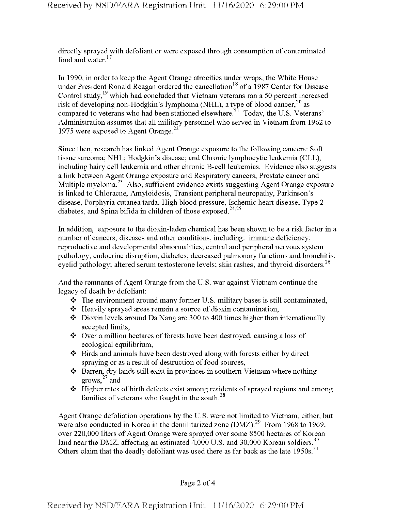directly sprayed with defoliant or were exposed through consumption of contaminated food and water.<sup>17</sup>

In 1990, in order to keep the Agent Orange atrocities under wraps, the White House under President Ronald Reagan ordered the cancellation<sup>18</sup> of a 1987 Center for Disease Control study,<sup>19</sup> which had concluded that Vietnam veterans ran a 50 percent increased risk of developing non-Hodgkin's lymphoma (NHL), a type of blood cancer,<sup>20</sup> as compared to veterans who had been stationed elsewhere.<sup>21</sup> Today, the U.S. Veterans' Administration assumes that all military personnel who served in Vietnam from 1962 to 1975 were exposed to Agent Orange. $^{22}$ 

Since then, research has linked Agent Orange exposure to the following cancers: Soft tissue sarcoma; NHL; Hodgkin's disease; and Chronic lymphocytic leukemia (CLL), including hairy cell leukemia and other chronic B-cell leukemias. Evidence also suggests a link between Agent Orange exposure and Respiratory cancers, Prostate cancer and Multiple myeloma.<sup>23</sup> Also, sufficient evidence exists suggesting Agent Orange exposure is linked to Chloracne, Amyloidosis, Transient peripheral neuropathy, Parkinson's disease, Porphyria cutanea tarda, High blood pressure, Ischemic heart disease, Type 2 diabetes, and Spina bifida in children of those exposed.<sup>24,25</sup>

In addition, exposure to the dioxin-laden chemical has been shown to be a risk factor in a number of cancers, diseases and other conditions, including: immune deficiency; reproductive and developmental abnormalities; central and peripheral nervous system pathology; endocrine disruption; diabetes; decreased pulmonary functions and bronchitis; eyelid pathology; altered serum testosterone levels; skin rashes; and thyroid disorders.<sup>26</sup>

And the remnants of Agent Orange from the U.S. war against Vietnam continue the legacy of death by defoliant:

- *\*t\** The environment around many former U.S. military bases is still contaminated,
- *\*t\** Heavily sprayed areas remain a source of dioxin contamination,
- *\*t\** Dioxin levels around Da Nang are 300 to 400 times higher than internationally accepted limits,
- **\*** Over a million hectares of forests have been destroyed, causing a loss of ecological equilibrium,
- *\*t\** Birds and animals have been destroyed along with forests either by direct spraying or as a result of destruction of food sources,
- *\*t\** Barren, dry lands still exist in provinces in southern Vietnam where nothing grows, $27$  and
- *\** Higher rates of birth defects exist among residents of sprayed regions and among families of veterans who fought in the south. $^{28}$

Agent Orange defoliation operations by the U.S. were not limited to Vietnam, either, but were also conducted in Korea in the demilitarized zone  $(DMZ)$ .<sup>29</sup> From 1968 to 1969, over 220,000 liters of Agent Orange were sprayed over some 8500 hectares of Korean land near the DMZ, affecting an estimated 4,000 U.S. and 30,000 Korean soldiers.<sup>30</sup> Others claim that the deadly defoliant was used there as far back as the late  $1950s$ .<sup>31</sup>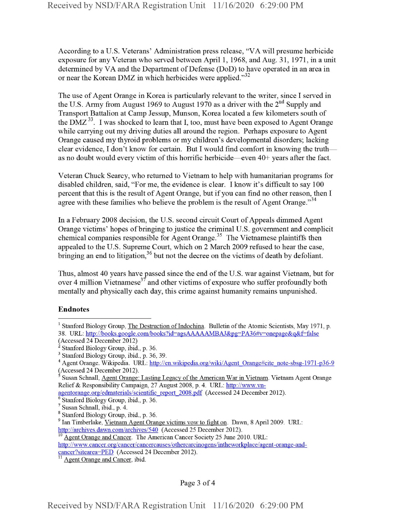According to a U.S. Veterans' Administration press release, "VA will presume herbicide exposure for any Veteran who served between April 1, 1968, and Aug. 31, 1971, in a unit determined by VA and the Department of Defense (DoD) to have operated in an area in or near the Korean DMZ in which herbicides were applied."<sup>32</sup>

The use of Agent Orange in Korea is particularly relevant to the writer, since I served in the U.S. Army from August 1969 to August 1970 as a driver with the  $2<sup>nd</sup>$  Supply and Transport Battalion at Camp Jessup, Munson, Korea located a few kilometers south of the DMZ<sup>33</sup>. I was shocked to learn that I, too, must have been exposed to Agent Orange while carrying out my driving duties all around the region. Perhaps exposure to Agent Orange caused my thyroid problems or my children's developmental disorders; lacking clear evidence, I don't know for certain. But I would find comfort in knowing the truth as no doubt would every victim of this horrific herbicide—even  $40+$  years after the fact.

Veteran Chuck Searcy, who returned to Vietnam to help with humanitarian programs for disabled children, said, "For me, the evidence is clear. I know it's difficult to say 100 percent that this is the result of Agent Orange, but if you can find no other reason, then I agree with these families who believe the problem is the result of Agent Orange."<sup>34</sup>

In a February 2008 decision, the U.S. second circuit Court of Appeals dimmed Agent Orange victims' hopes of bringing to justice the criminal U.S. government and complicit chemical companies responsible for Agent Orange.<sup>35</sup> The Vietnamese plaintiffs then appealed to the U.S. Supreme Court, which on 2 March 2009 refused to hear the case, bringing an end to litigation,  $36$  but not the decree on the victims of death by defoliant.

Thus, almost 40 years have passed since the end of the U.S. war against Vietnam, but for over 4 million Vietnamese<sup>37</sup> and other victims of exposure who suffer profoundly both mentally and physically each day, this crime against humanity remains unpunished.

## Endnotes

Agent Orange and Cancer. The American Cancer Society 25 June 2010. URL:

http://www.cancer.org/cancer/cancercauses/othercarcinogens/intheworkplace/agent-orange-and-

<sup>&</sup>lt;sup>1</sup> Stanford Biology Group, The Destruction of Indochina. Bulletin of the Atomic Scientists, May 1971, p. 38. URL: http://books.google.com/books?id=agsAAAAAMBAJ&pg=PA36#v=onepage&q&f=false

<sup>(</sup>Accessed 24 December 2012)

<sup>2</sup> Stanford Biology Group, ibid., p. 36.

<sup>&</sup>lt;sup>3</sup> Stanford Biology Group, ibid., p. 36, 39.

<sup>&</sup>lt;sup>4</sup> Agent Orange. Wikipedia. URL: http://en.wikipedia.org/wiki/Agent Orange#cite note-sbsg-1971-p36-9 (Accessed 24 December 2012).

<sup>5</sup> Susan Schnall, Agent Orange: Lasting Legacy ofthe American War in Vietnam. Vietnam Agent Orange Relief & Responsibility Campaign, 27 August 2008, p. 4. URL: http://www.vn-

agentorange.org/edmaterials/scientific report 2008.pdf (Accessed 24 December 2012).

<sup>6</sup> Stanford Biology Group, ibid., p. 36.

<sup>7</sup> Susan Schnall, ibid., p. 4.

<sup>8</sup> Stanford Biology Group, ibid., p. 36.

<sup>9</sup> Ian Timberlake, Vietnam Agent Orange victims vow to fight on. Dawn, 8 April 2009. URL: http://archives.dawn.com/archives/540 (Accessed 25 December 2012).

cancer?sitearea=PED (Accessed 24 December 2012).

Agent Orange and Cancer, ibid.